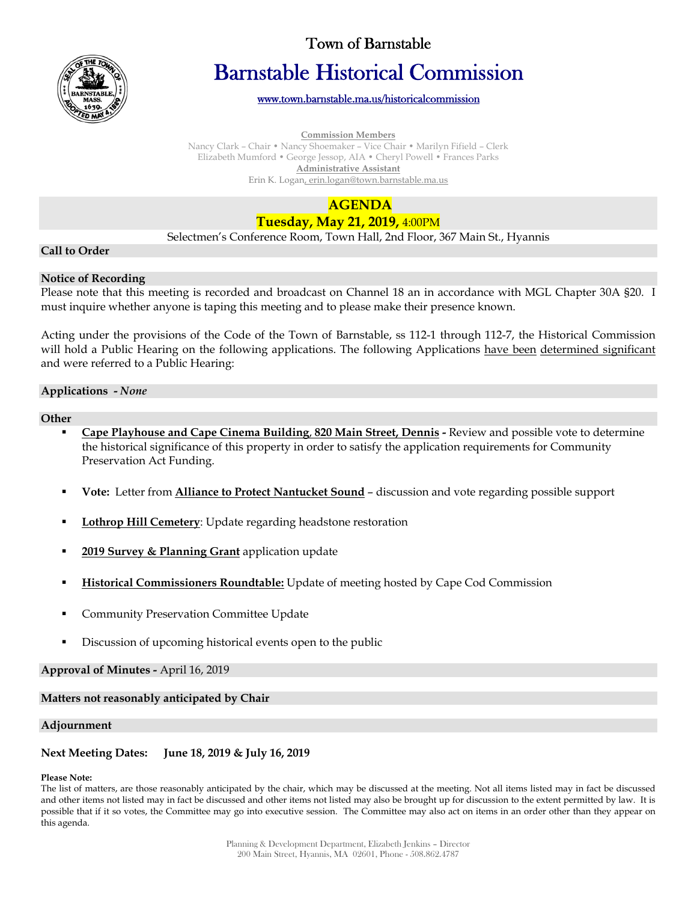

# Town of Barnstable

# Barnstable Historical Commission

www.town.barnstable.ma.us/historicalcommission

#### **Commission Members**

Nancy Clark – Chair • Nancy Shoemaker – Vice Chair • Marilyn Fifield – Clerk Elizabeth Mumford • George Jessop, AIA • Cheryl Powell • Frances Parks **Administrative Assistant**  Erin K. Logan, erin.logan@town.barnstable.ma.us

# **AGENDA Tuesday, May 21, 2019,** 4:00PM

Selectmen's Conference Room, Town Hall, 2nd Floor, 367 Main St., Hyannis

### **Call to Order**

#### **Notice of Recording**

Please note that this meeting is recorded and broadcast on Channel 18 an in accordance with MGL Chapter 30A §20. I must inquire whether anyone is taping this meeting and to please make their presence known.

Acting under the provisions of the Code of the Town of Barnstable, ss 112-1 through 112-7, the Historical Commission will hold a Public Hearing on the following applications. The following Applications have been determined significant and were referred to a Public Hearing:

#### **Applications -** *None*

#### **Other**

- **Cape Playhouse and Cape Cinema Building**, **820 Main Street, Dennis -** Review and possible vote to determine the historical significance of this property in order to satisfy the application requirements for Community Preservation Act Funding.
- **Vote:** Letter from **Alliance to Protect Nantucket Sound** discussion and vote regarding possible support
- **Lothrop Hill Cemetery**: Update regarding headstone restoration
- **2019 Survey & Planning Grant** application update
- **Historical Commissioners Roundtable:** Update of meeting hosted by Cape Cod Commission
- Community Preservation Committee Update
- Discussion of upcoming historical events open to the public

# **Approval of Minutes -** April 16, 2019

# **Matters not reasonably anticipated by Chair**

# **Adjournment**

# **Next Meeting Dates: June 18, 2019 & July 16, 2019**

#### **Please Note:**

The list of matters, are those reasonably anticipated by the chair, which may be discussed at the meeting. Not all items listed may in fact be discussed and other items not listed may in fact be discussed and other items not listed may also be brought up for discussion to the extent permitted by law. It is possible that if it so votes, the Committee may go into executive session. The Committee may also act on items in an order other than they appear on this agenda.